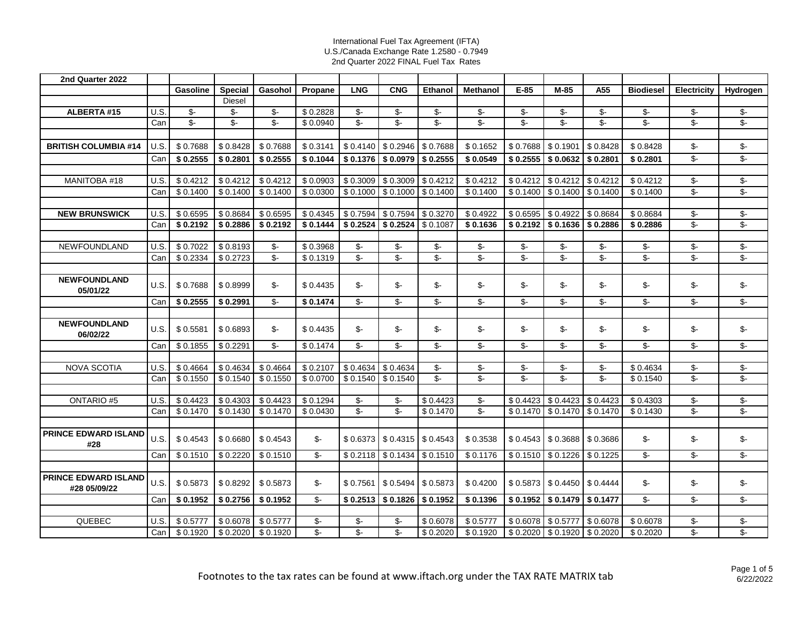| 2nd Quarter 2022                            |      |                |                |          |                |                          |                               |                          |                          |                          |                          |                          |                  |                          |                            |
|---------------------------------------------|------|----------------|----------------|----------|----------------|--------------------------|-------------------------------|--------------------------|--------------------------|--------------------------|--------------------------|--------------------------|------------------|--------------------------|----------------------------|
|                                             |      | Gasoline       | <b>Special</b> | Gasohol  | Propane        | <b>LNG</b>               | <b>CNG</b>                    | <b>Ethanol</b>           | <b>Methanol</b>          | $E-85$                   | $M-85$                   | A55                      | <b>Biodiesel</b> | <b>Electricity</b>       | Hydrogen                   |
|                                             |      |                | <b>Diesel</b>  |          |                |                          |                               |                          |                          |                          |                          |                          |                  |                          |                            |
| ALBERTA #15                                 | U.S. | \$-            | \$-            | \$-      | \$0.2828       | \$-                      | \$-                           | \$-                      | \$-                      | \$-                      | \$-                      | \$-                      | \$-              | \$-                      | \$-                        |
|                                             | Can  | $\mathsf{S}$ - | $S-$           | $S-$     | \$0.0940       | $S-$                     | $S-$                          | $\mathsf{S}$ -           | $\mathsf{S}$ -           | $\mathsf{S}$ -           | $\mathsf{S}$ -           | $S-$                     | $\mathsf{S}$ -   | $\mathsf{S}$ -           | $\overline{\mathcal{S}}$ - |
|                                             |      |                |                |          |                |                          |                               |                          |                          |                          |                          |                          |                  |                          |                            |
| <b>BRITISH COLUMBIA #14</b>                 | U.S. | \$0.7688       | \$0.8428       | \$0.7688 | \$0.3141       | \$0.4140                 | \$0.2946                      | \$0.7688                 | \$0.1652                 | \$0.7688                 | \$0.1901                 | \$0.8428                 | \$0.8428         | \$-                      | $\frac{2}{3}$              |
|                                             | Can  | \$0.2555       | \$0.2801       | \$0.2555 | \$0.1044       | \$0.1376                 | \$0.0979                      | \$0.2555                 | \$0.0549                 | \$0.2555                 | \$0.0632                 | \$0.2801                 | \$0.2801         | $\overline{\mathcal{S}}$ | $\overline{\mathcal{S}}$   |
|                                             |      |                |                |          |                |                          |                               |                          |                          |                          |                          |                          |                  |                          |                            |
| MANITOBA #18                                | U.S. | \$0.4212       | \$0.4212       | \$0.4212 | \$0.0903       | \$0.3009                 | \$0.3009                      | \$0.4212                 | \$0.4212                 | \$0.4212                 | \$0.4212                 | \$0.4212                 | \$0.4212         | \$-                      | $\frac{2}{3}$              |
|                                             | Can  | \$0.1400       | \$0.1400       | \$0.1400 | \$0.0300       | \$0.1000                 | \$0.1000                      | \$0.1400                 | \$0.1400                 | \$0.1400                 | \$0.1400                 | \$0.1400                 | \$0.1400         | $\overline{\mathcal{S}}$ | $\overline{\mathcal{E}}$   |
|                                             |      |                |                |          |                |                          |                               |                          |                          |                          |                          |                          |                  |                          |                            |
| <b>NEW BRUNSWICK</b>                        | U.S. | \$0.6595       | \$0.8684       | \$0.6595 | \$0.4345       | \$0.7594                 | \$0.7594                      | \$0.3270                 | \$0.4922                 | \$0.6595                 | \$ 0.4922                | \$0.8684                 | \$0.8684         | $S-$                     | $\overline{\mathcal{L}}$   |
|                                             | Can  | \$0.2192       | \$0.2886       | \$0.2192 | \$0.1444       |                          | $$0.2524$ $$0.2524$ $$0.1087$ |                          | \$0.1636                 | \$0.2192                 | \$ 0.1636   \$ 0.2886    |                          | \$0.2886         | $\mathsf{S}$ -           | \$-                        |
|                                             |      |                |                |          |                |                          |                               |                          |                          |                          |                          |                          |                  |                          |                            |
| NEWFOUNDLAND                                | U.S. | \$0.7022       | \$0.8193       | \$-      | \$0.3968       | \$-                      | $\mathcal{S}$ -               | \$-                      | \$-                      | $\mathsf{S}$ -           | $\mathsf{S}$ -           | \$-                      | \$-              | $\mathcal{L}$            | $\sqrt[6]{\frac{1}{2}}$    |
|                                             | Can  | \$0.2334       | \$0.2723       | $S-$     | \$0.1319       | $\overline{\mathcal{S}}$ | $\overline{\mathcal{S}}$      | $\overline{\mathcal{S}}$ | $\overline{\mathbb{S}}$  | $S-$                     | $S-$                     | $S-$                     | $S-$             | $\overline{\mathcal{S}}$ | $\overline{\mathcal{L}}$   |
|                                             |      |                |                |          |                |                          |                               |                          |                          |                          |                          |                          |                  |                          |                            |
| <b>NEWFOUNDLAND</b><br>05/01/22             | U.S. | \$0.7688       | \$0.8999       | \$-      | \$0.4435       | \$-                      | \$-                           | $$-$                     | \$-                      | \$-                      | \$-                      | \$-                      | \$-              | \$-                      | $\frac{2}{3}$              |
|                                             | Can  | \$0.2555       | \$0.2991       | \$-      | \$0.1474       | $S-$                     | $S-$                          | S                        | S                        | $S-$                     | $S-$                     | $$-$                     | \$-              | $S-$                     | \$-                        |
|                                             |      |                |                |          |                |                          |                               |                          |                          |                          |                          |                          |                  |                          |                            |
| <b>NEWFOUNDLAND</b><br>06/02/22             | U.S. | \$0.5581       | \$0.6893       | \$-      | \$0.4435       | \$-                      | \$-                           | $S-$                     | \$-                      | \$-                      | \$-                      | \$-                      | \$-              | \$-                      | $\frac{2}{3}$              |
|                                             | Can  | \$0.1855       | \$0.2291       | \$-      | \$0.1474       | $S-$                     | $S-$                          | $S-$                     | $S-$                     | $S-$                     | \$-                      | $S-$                     | \$-              | $S-$                     | $\overline{\mathcal{S}}$   |
|                                             |      |                |                |          |                |                          |                               |                          |                          |                          |                          |                          |                  |                          |                            |
| <b>NOVA SCOTIA</b>                          | U.S. | \$0.4664       | \$0.4634       | \$0.4664 | \$0.2107       | \$0.4634                 | \$0.4634                      | $\mathsf{S}$ -           | \$-                      | $\mathsf{S}$ -           | $\mathsf{S}$ -           | $\mathsf{S}$ -           | \$0.4634         | \$-                      | \$-                        |
|                                             | Can  | \$0.1550       | \$0.1540       | \$0.1550 | \$0.0700       | \$0.1540                 | \$0.1540                      | $\overline{\mathcal{S}}$ | $\overline{\mathcal{S}}$ | $\overline{\mathcal{S}}$ | $\overline{\mathcal{S}}$ | $\overline{\mathcal{S}}$ | \$0.1540         | $\mathcal{S}$ -          | $\overline{\mathcal{L}}$   |
|                                             |      |                |                |          |                |                          |                               |                          |                          |                          |                          |                          |                  |                          |                            |
| <b>ONTARIO#5</b>                            | U.S  | \$0.4423       | \$0.4303       | \$0.4423 | \$0.1294       | $\mathcal{S}$ -          | $$-$                          | \$0.4423                 | \$-                      | \$0.4423                 | \$0.4423                 | \$0.4423                 | \$0.4303         | \$-                      | \$-                        |
|                                             | Can  | \$0.1470       | \$0.1430       | \$0.1470 | \$0.0430       | $\frac{2}{3}$            | $\overline{\mathcal{L}}$      | \$0.1470                 | $\overline{\mathcal{S}}$ | \$0.1470                 | \$0.1470                 | \$0.1470                 | \$0.1430         | $\mathcal{L}$            | \$-                        |
|                                             |      |                |                |          |                |                          |                               |                          |                          |                          |                          |                          |                  |                          |                            |
| <b>PRINCE EDWARD ISLAND</b><br>#28          | U.S  | \$0.4543       | \$0.6680       | \$0.4543 | $\mathsf{S}$ - | \$0.6373                 | \$0.4315                      | \$0.4543                 | \$0.3538                 | \$0.4543                 | \$0.3688                 | \$0.3686                 | \$-              | \$-                      | \$-                        |
|                                             | Can  | \$0.1510       | \$0.2220       | \$0.1510 | $\mathsf{S}$ - | \$0.2118                 | \$0.1434                      | \$0.1510                 | \$0.1176                 | \$0.1510                 | \$0.1226                 | \$0.1225                 | $\mathcal{L}$    | \$-                      | \$-                        |
|                                             |      |                |                |          |                |                          |                               |                          |                          |                          |                          |                          |                  |                          |                            |
| <b>PRINCE EDWARD ISLAND</b><br>#28 05/09/22 | U.S. | \$0.5873       | \$0.8292       | \$0.5873 | \$-            | \$0.7561                 | \$0.5494                      | \$0.5873                 | \$0.4200                 | \$0.5873                 | \$0.4450                 | \$0.4444                 | \$-              | \$-                      | \$-                        |
|                                             | Can  | \$0.1952       | \$0.2756       | \$0.1952 | \$-            | \$0.2513                 | \$0.1826                      | \$0.1952                 | \$0.1396                 | \$0.1952                 | \$0.1479                 | \$0.1477                 | \$-              | \$-                      | \$-                        |
|                                             |      |                |                |          |                |                          |                               |                          |                          |                          |                          |                          |                  |                          |                            |
| QUEBEC                                      | U.S. | \$0.5777       | \$0.6078       | \$0.5777 | \$-            | $\mathsf{S}$ -           | $\mathsf{S}$ -                | \$0.6078                 | \$0.5777                 | \$0.6078                 | \$0.5777                 | \$0.6078                 | \$0.6078         | \$-                      | \$-                        |
|                                             | Can  | \$0.1920       | \$0.2020       | \$0.1920 | $\mathcal{L}$  | \$-                      | \$-                           | \$0.2020                 | \$0.1920                 | \$0.2020                 | \$0.1920                 | \$0.2020                 | \$0.2020         | \$-                      | \$-                        |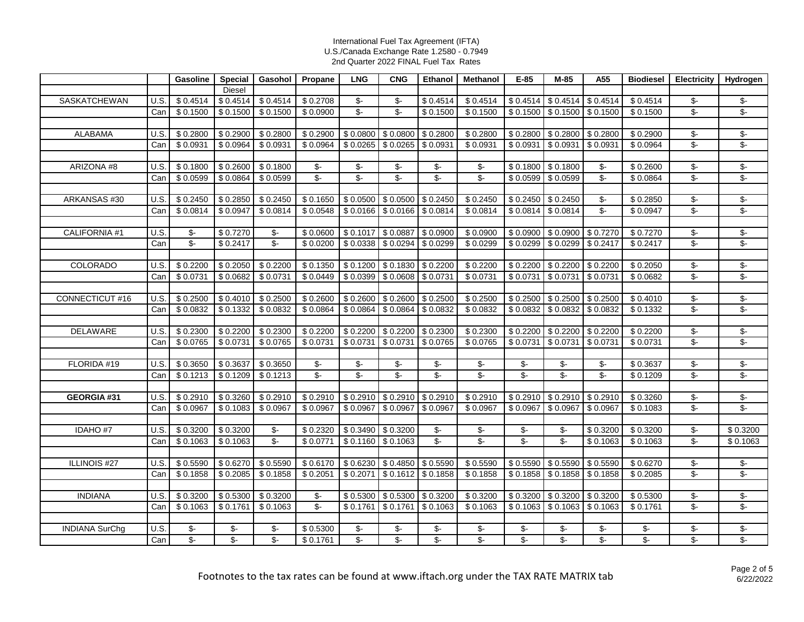|                       |      | Gasoline                 | Special              | Gasohol                  | Propane                  | <b>LNG</b>               | <b>CNG</b>                      | Ethanol                  | Methanol                 | $E-85$               | $M-85$                   | A55                      | <b>Biodiesel</b>         | <b>Electricity</b>         | Hydrogen                                     |
|-----------------------|------|--------------------------|----------------------|--------------------------|--------------------------|--------------------------|---------------------------------|--------------------------|--------------------------|----------------------|--------------------------|--------------------------|--------------------------|----------------------------|----------------------------------------------|
|                       |      |                          | <b>Diesel</b>        |                          |                          |                          |                                 |                          |                          |                      |                          |                          |                          |                            |                                              |
| SASKATCHEWAN          | U.S. | \$0.4514                 | \$0.4514             | \$0.4514                 | \$0.2708                 | \$-                      | \$-                             | \$0.4514                 | \$0.4514                 | \$0.4514             | \$0.4514                 | \$0.4514                 | \$0.4514                 | $\overline{\mathcal{F}}$   | $\sqrt[6]{\cdot}$                            |
|                       | Can  | \$0.1500                 | \$0.1500             | \$0.1500                 | \$0.0900                 | $\overline{\mathcal{F}}$ | $\overline{\mathcal{F}}$        | \$0.1500                 | \$0.1500                 | \$0.1500             | \$0.1500                 | \$0.1500                 | \$0.1500                 | $\overline{\mathcal{F}}$   | \$-                                          |
|                       |      |                          |                      |                          |                          |                          |                                 |                          |                          |                      |                          |                          |                          |                            |                                              |
| <b>ALABAMA</b>        | U.S. | \$0.2800                 | \$0.2900             | \$0.2800                 | \$0.2900                 | \$0.0800                 | \$0.0800                        | \$0.2800                 | \$0.2800                 | \$0.2800             | \$0.2800                 | \$0.2800                 | \$0.2900                 | $\overline{\mathcal{F}}$   | $\sqrt[6]{\frac{1}{2}}$                      |
|                       | Can  | \$0.0931                 | \$0.0964             | \$0.0931                 | \$0.0964                 | \$0.0265                 | \$0.0265                        | \$0.0931                 | \$0.0931                 | \$0.0931             | \$0.0931                 | \$0.0931                 | \$0.0964                 | $\overline{\mathcal{S}}$   | $\overline{\$}$ -                            |
|                       |      |                          |                      |                          |                          |                          |                                 |                          |                          |                      |                          |                          |                          |                            |                                              |
| ARIZONA #8            | U.S. | \$0.1800                 | \$0.2600             | \$0.1800                 | \$-                      | \$-                      | \$-                             | \$-                      | $$-$                     | \$0.1800             | \$0.1800                 | \$-                      | \$0.2600                 | \$-                        | $\sqrt[6]{\frac{1}{2}}$                      |
|                       | Can  | \$0.0599                 | \$0.0864             | \$0.0599                 | $\overline{\mathcal{S}}$ | $\sqrt{2}$               | $\overline{\mathcal{S}}$        | $\overline{\mathcal{S}}$ | $\overline{\mathcal{S}}$ | \$0.0599             | \$0.0599                 | $\mathsf{S}$ -           | \$0.0864                 | $\overline{\mathcal{S}}$   | $\sqrt[6]{\cdot}$                            |
|                       |      |                          |                      |                          |                          |                          |                                 |                          |                          |                      |                          |                          |                          |                            |                                              |
| ARKANSAS #30          | U.S  | \$0.2450                 | \$0.2850             | \$0.2450                 | \$0.1650                 | \$0.0500                 | \$0.0500                        | \$0.2450                 | \$0.2450                 | \$0.2450             | \$0.2450                 | \$-                      | \$0.2850                 | \$-                        | $\sqrt[6]{\cdot}$                            |
|                       | Can  | \$0.0814                 | \$0.0947             | \$0.0814                 | \$0.0548                 | \$0.0166                 | \$0.0166                        | \$0.0814                 | \$0.0814                 | \$0.0814             | \$0.0814                 | $\overline{\mathcal{L}}$ | \$0.0947                 | $\overline{\mathcal{S}}$   | $\overline{\mathcal{F}}$                     |
|                       |      |                          |                      |                          |                          |                          |                                 |                          |                          |                      |                          |                          |                          |                            |                                              |
| CALIFORNIA #1         | U.S. | \$-                      | \$0.7270             | \$-                      | \$0.0600                 | \$0.1017                 | \$0.0887                        | \$0.0900                 | \$0.0900                 | \$0.0900             | \$0.0900                 | \$0.7270                 | \$0.7270                 | \$-                        | \$-                                          |
|                       | Can  | $\overline{\mathcal{S}}$ | \$0.2417             | $\overline{\mathcal{S}}$ | \$0.0200                 | \$0.0338                 | \$0.0294                        | \$0.0299                 | \$0.0299                 | \$0.0299             | \$0.0299                 | \$0.2417                 | \$0.2417                 | $\overline{\mathcal{S}}$   | $\overline{\mathcal{F}}$                     |
|                       |      |                          |                      |                          |                          |                          |                                 |                          |                          |                      |                          |                          |                          |                            |                                              |
| <b>COLORADO</b>       | U.S  | \$0.2200                 | \$0.2050             | \$0.2200                 | \$0.1350                 | \$0.1200                 | \$0.1830                        | \$0.2200                 | \$0.2200                 | \$0.2200             | \$0.2200                 | \$0.2200                 | \$0.2050                 | \$-                        | $\sqrt[6]{\frac{1}{2}}$                      |
|                       | Can  | \$0.0731                 | \$0.0682             | \$0.0731                 | \$0.0449                 | \$0.0399                 | \$0.0608                        | \$0.0731                 | \$0.0731                 | \$0.0731             | \$0.0731                 | \$0.0731                 | \$0.0682                 | $\overline{\mathcal{F}}$   | \$-                                          |
|                       |      |                          |                      |                          |                          |                          |                                 |                          |                          |                      |                          |                          |                          |                            |                                              |
| CONNECTICUT #16       | U.S. | \$0.2500                 | \$0.4010             | \$0.2500                 | \$0.2600                 | \$0.2600                 | \$0.2600                        | \$0.2500                 | \$0.2500                 | \$0.2500             | \$0.2500                 | \$0.2500                 | \$0.4010                 | $\sqrt[6]{\cdot}$          | $\sqrt[6]{\frac{1}{2}}$                      |
|                       | Can  | \$0.0832                 | \$0.1332             | \$0.0832                 | \$0.0864                 | \$0.0864                 | \$0.0864                        | \$0.0832                 | \$0.0832                 | \$0.0832             | \$0.0832                 | \$0.0832                 | \$0.1332                 | $\mathcal{L}$              | $\overline{\mathcal{F}}$                     |
|                       |      |                          |                      |                          |                          |                          |                                 |                          |                          |                      |                          |                          |                          |                            |                                              |
| <b>DELAWARE</b>       | U.S. | \$0.2300                 | \$0.2200             | \$0.2300                 | \$0.2200                 | \$0.2200                 | \$0.2200                        | \$0.2300                 | \$0.2300                 | \$0.2200             | \$0.2200                 | \$0.2200                 | \$0.2200                 | \$-                        | $\sqrt[6]{\frac{1}{2}}$                      |
|                       | Can  | \$0.0765                 | \$0.0731             | \$0.0765                 | \$0.0731                 | \$0.0731                 | \$0.0731                        | \$0.0765                 | \$0.0765                 | \$0.0731             | \$0.0731                 | \$0.0731                 | \$0.0731                 | $\overline{\mathcal{S}}$ - | $\overline{\$}$                              |
|                       |      |                          |                      |                          |                          |                          |                                 |                          |                          |                      |                          |                          |                          |                            |                                              |
| FLORIDA #19           | U.S  | \$0.3650                 | \$0.3637             | \$0.3650                 | \$-                      | \$-                      | \$-                             | \$-                      | \$-                      | \$-                  | \$-                      | \$-                      | \$0.3637                 | $\overline{\$}$ -          | $\sqrt[6]{\cdot}$                            |
|                       | Can  | \$0.1213                 | \$0.1209             | \$0.1213                 | \$-                      | $\overline{\$}$          | $\overline{\$}$                 | $\overline{\mathcal{S}}$ | $\overline{\$}$          | $\overline{\$}$      | $\overline{\$}$          | $\overline{\$}$          | \$0.1209                 | $\overline{\mathcal{S}}$   | $\overline{\mathcal{F}}$                     |
|                       | U.S. |                          |                      |                          |                          |                          |                                 |                          |                          |                      |                          |                          |                          |                            |                                              |
| GEORGIA#31            |      | \$0.2910<br>\$0.0967     | \$0.3260<br>\$0.1083 | \$0.2910<br>\$0.0967     | \$0.2910                 | \$0.2910                 | $$0.2910$ $$0.2910$<br>\$0.0967 | \$0.0967                 | \$0.2910                 | \$0.2910<br>\$0.0967 | \$0.2910<br>\$0.0967     | \$0.2910<br>\$0.0967     | \$0.3260                 | \$-<br>\$-                 | $\frac{1}{\phi}$<br>$\overline{\mathcal{L}}$ |
|                       | Can  |                          |                      |                          | \$0.0967                 | \$0.0967                 |                                 |                          | \$0.0967                 |                      |                          |                          | \$0.1083                 |                            |                                              |
| IDAHO #7              | U.S  | \$0.3200                 | \$0.3200             | \$-                      | \$0.2320                 | \$0.3490                 | \$0.3200                        | \$-                      | \$-                      | $\mathcal{L}$        | $\mathbb{S}^-$           | \$0.3200                 | \$0.3200                 | $\mathcal{L}$              | \$0.3200                                     |
|                       | Can  | \$0.1063                 | \$0.1063             | $\overline{\mathcal{S}}$ | \$0.0771                 | \$0.1160                 | \$0.1063                        | $\overline{\mathcal{S}}$ | $\overline{\mathcal{S}}$ | \$-                  | $S-$                     | \$0.1063                 | \$0.1063                 | $\mathcal{L}$              | \$0.1063                                     |
|                       |      |                          |                      |                          |                          |                          |                                 |                          |                          |                      |                          |                          |                          |                            |                                              |
| ILLINOIS #27          | U.S. | \$0.5590                 | \$0.6270             | \$0.5590                 | \$0.6170                 | \$0.6230                 | \$0.4850                        | \$0.5590                 | \$0.5590                 | \$0.5590             | \$0.5590                 | \$0.5590                 | \$0.6270                 | \$-                        | $\frac{1}{\phi}$                             |
|                       | Can  | \$0.1858                 | \$0.2085             | \$0.1858                 | \$0.2051                 | \$0.2071                 | \$0.1612                        | \$0.1858                 | \$0.1858                 | \$0.1858             | \$0.1858                 | \$0.1858                 | \$0.2085                 | \$-                        | \$-                                          |
|                       |      |                          |                      |                          |                          |                          |                                 |                          |                          |                      |                          |                          |                          |                            |                                              |
| <b>INDIANA</b>        | U.S. | \$0.3200                 | \$0.5300             | \$0.3200                 | $\sqrt[6]{\cdot}$        | \$0.5300                 | \$0.5300                        | \$0.3200                 | \$0.3200                 | \$0.3200             | \$0.3200                 | \$0.3200                 | \$0.5300                 | \$-                        | $\sqrt[6]{\frac{1}{2}}$                      |
|                       | Can  | \$0.1063                 | \$0.1761             | \$0.1063                 | $\overline{\mathcal{S}}$ | \$0.1761                 | \$0.1761                        | \$0.1063                 | \$0.1063                 | \$0.1063             | \$0.1063                 | \$0.1063                 | \$0.1761                 | $\overline{\mathcal{S}}$   | $\overline{\mathcal{E}}$                     |
|                       |      |                          |                      |                          |                          |                          |                                 |                          |                          |                      |                          |                          |                          |                            |                                              |
| <b>INDIANA SurChg</b> | U.S. | \$-                      | \$-                  | \$-                      | \$0.5300                 | \$-                      | \$-                             | \$-                      | \$-                      | \$-                  | \$-                      | \$-                      | \$-                      | \$-                        | $\sqrt[6]{\frac{1}{2}}$                      |
|                       | Can  | \$-                      | \$-                  | $\overline{\mathcal{S}}$ | \$0.1761                 | $\overline{\$}$          | \$-                             | \$-                      | $\overline{\mathcal{S}}$ | \$-                  | $\overline{\mathcal{S}}$ | $\overline{\mathcal{S}}$ | $\overline{\mathcal{S}}$ | \$-                        | $\overline{\mathcal{E}}$                     |
|                       |      |                          |                      |                          |                          |                          |                                 |                          |                          |                      |                          |                          |                          |                            |                                              |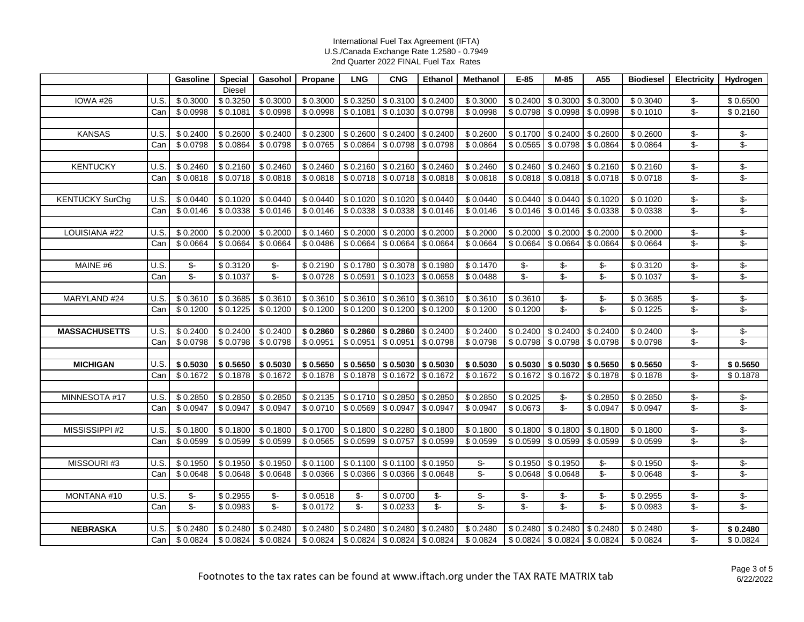|                        |      | Gasoline                 | Special  | Gasohol                  | Propane              | <b>LNG</b>        | <b>CNG</b>                    | Ethanol              | Methanol                 | $E-85$                   | M-85                     | A55                      | <b>Biodiesel</b> | Electricity                     | Hydrogen                                    |
|------------------------|------|--------------------------|----------|--------------------------|----------------------|-------------------|-------------------------------|----------------------|--------------------------|--------------------------|--------------------------|--------------------------|------------------|---------------------------------|---------------------------------------------|
|                        |      |                          | Diesel   |                          |                      |                   |                               |                      |                          |                          |                          |                          |                  |                                 |                                             |
| <b>IOWA #26</b>        | U.S. | \$0.3000                 | \$0.3250 | \$0.3000                 | \$0.3000             | \$0.3250          | \$0.3100                      | \$0.2400             | \$0.3000                 | \$0.2400                 | \$0.3000                 | \$0.3000                 | \$0.3040         | \$-                             | \$0.6500                                    |
|                        | Can  | \$0.0998                 | \$0.1081 | \$0.0998                 | \$0.0998             | \$0.1081          | \$0.1030                      | \$0.0798             | \$0.0998                 | \$0.0798                 | \$0.0998                 | \$0.0998                 | \$0.1010         | \$-                             | \$0.2160                                    |
|                        |      |                          |          |                          |                      |                   |                               |                      |                          |                          |                          |                          |                  |                                 |                                             |
| <b>KANSAS</b>          | U.S. | \$0.2400                 | \$0.2600 | \$0.2400                 | \$0.2300             | \$0.2600          | \$0.2400                      | \$0.2400             | \$0.2600                 | \$0.1700                 | \$0.2400                 | \$0.2600                 | \$0.2600         | \$-                             | \$-                                         |
|                        | Can  | \$0.0798                 | \$0.0864 | \$0.0798                 | \$0.0765             | \$0.0864          | $$0.0798$ \$0.0798            |                      | \$0.0864                 | \$0.0565                 | \$0.0798                 | \$0.0864                 | \$0.0864         | $\mathcal{L}$                   | $\overline{\$}$ -                           |
|                        |      |                          |          |                          |                      |                   |                               |                      |                          |                          |                          |                          |                  |                                 |                                             |
| <b>KENTUCKY</b>        | U.S. | \$0.2460                 | \$0.2160 | \$0.2460                 | \$0.2460             | \$0.2160          | \$0.2160                      | \$0.2460             | \$0.2460                 | \$0.2460                 | \$0.2460                 | \$0.2160                 | \$0.2160         | \$-                             | \$-                                         |
|                        | Can  | \$0.0818                 | \$0.0718 | \$0.0818                 | \$0.0818             | \$0.0718          | \$0.0718                      | \$0.0818             | \$0.0818                 | \$0.0818                 | \$0.0818                 | \$0.0718                 | \$0.0718         | $\overline{\mathcal{F}}$        | $\sqrt[6]{\cdot}$                           |
| <b>KENTUCKY SurChg</b> | U.S. | \$0.0440                 | \$0.1020 | \$0.0440                 | \$0.0440             | \$0.1020          | \$0.1020                      | $\sqrt{$}0.0440$     | \$0.0440                 | \$0.0440                 | \$0.0440                 | \$0.1020                 | \$0.1020         | \$-                             | $\sqrt[6]{\cdot}$                           |
|                        | Can  | \$0.0146                 | \$0.0338 | \$0.0146                 | \$0.0146             | \$0.0338          | \$0.0338                      | \$0.0146             | \$0.0146                 | \$0.0146                 | \$0.0146                 | \$0.0338                 | \$0.0338         | $\overline{\mathcal{S}}$        | \$-                                         |
|                        |      |                          |          |                          |                      |                   |                               |                      |                          |                          |                          |                          |                  |                                 |                                             |
| LOUISIANA #22          | U.S. | \$0.2000                 | \$0.2000 | \$0.2000                 | \$0.1460             | \$0.2000          | \$0.2000                      | \$0.2000             | \$0.2000                 | \$0.2000                 | \$0.2000                 | \$0.2000                 | \$0.2000         | \$-                             | \$-                                         |
|                        | Can  | \$0.0664                 | \$0.0664 | \$0.0664                 | \$0.0486             | \$0.0664          | \$0.0664                      | \$0.0664             | \$0.0664                 | \$0.0664                 | \$0.0664                 | \$0.0664                 | \$0.0664         | $\overline{\mathcal{L}}$        | \$-                                         |
|                        |      |                          |          |                          |                      |                   |                               |                      |                          |                          |                          |                          |                  |                                 |                                             |
| MAINE #6               | U.S. | \$-                      | \$0.3120 | \$-                      | \$0.2190             | \$0.1780          | $$0.3078$ $$0.1980$           |                      | \$0.1470                 | \$-                      | $\overline{\mathcal{F}}$ | \$-                      | \$0.3120         | \$-                             | \$-                                         |
|                        | Can  | $\overline{\mathcal{L}}$ | \$0.1037 | $\overline{\mathcal{S}}$ | \$0.0728             | \$0.0591          | \$0.1023                      | \$0.0658             | \$0.0488                 | $\overline{\$}$          | $\overline{\$}$          | $\overline{\mathcal{L}}$ | \$0.1037         | $\overline{\mathcal{F}}$        | \$-                                         |
|                        |      |                          |          |                          |                      |                   |                               |                      |                          |                          |                          |                          |                  |                                 |                                             |
| MARYLAND #24           | U.S. | \$0.3610                 | \$0.3685 | \$0.3610                 | \$0.3610             | \$0.3610          | \$0.3610                      | \$0.3610             | \$0.3610                 | \$0.3610                 | $\frac{1}{\phi}$         | $\overline{\mathcal{F}}$ | \$0.3685         | $\overline{\mathcal{F}}$        | \$-                                         |
|                        | Can  | \$0.1200                 | \$0.1225 | \$0.1200                 | \$0.1200             | \$0.1200          | \$0.1200                      | \$0.1200             | \$0.1200                 | \$0.1200                 | $\overline{\$}$          | \$-                      | \$0.1225         | $\overline{\mathcal{L}}$        | \$-                                         |
|                        |      |                          |          |                          |                      |                   |                               |                      |                          |                          |                          |                          |                  |                                 |                                             |
| <b>MASSACHUSETTS</b>   | U.S. | \$0.2400                 | \$0.2400 | \$0.2400                 | \$0.2860             | \$0.2860          | \$0.2860                      | \$0.2400             | \$0.2400                 | \$0.2400                 | \$0.2400                 | \$0.2400                 | \$0.2400         | \$-                             | $\sqrt[6]{\frac{1}{2}}$                     |
|                        | Can  | \$0.0798                 | \$0.0798 | \$0.0798                 | \$0.0951             | \$0.0951          | \$0.0951                      | \$0.0798             | \$0.0798                 | \$0.0798                 | \$0.0798                 | 50.0798                  | \$0.0798         | \$-                             | \$-                                         |
|                        |      |                          |          |                          |                      |                   |                               |                      |                          |                          |                          |                          |                  |                                 |                                             |
| <b>MICHIGAN</b>        | U.S. | \$0.5030                 | \$0.5650 | \$0.5030                 | \$0.5650             | \$0.5650          | \$0.5030                      | $\sqrt{ }$ \$ 0.5030 | \$0.5030                 | \$0.5030                 | \$0.5030                 | \$0.5650                 | \$0.5650         | \$-                             | \$0.5650                                    |
|                        | Can  | \$0.1672                 | \$0.1878 | \$0.1672                 | \$0.1878             | \$0.1878          | \$0.1672                      | \$0.1672             | \$0.1672                 | \$0.1672                 | \$0.1672                 | \$0.1878                 | \$0.1878         | $\overline{\mathcal{L}}$        | \$0.1878                                    |
|                        | U.S. |                          | \$0.2850 | \$0.2850                 |                      | \$0.1710          | \$0.2850                      | \$0.2850             | \$0.2850                 | \$0.2025                 | \$-                      |                          | \$0.2850         |                                 |                                             |
| MINNESOTA #17          | Can  | \$0.2850<br>\$0.0947     | \$0.0947 | \$0.0947                 | \$0.2135<br>\$0.0710 | \$0.0569          | \$0.0947                      | \$0.0947             | \$0.0947                 | \$0.0673                 | $$-$                     | \$0.2850<br>\$0.0947     | \$0.0947         | \$-<br>$\overline{\mathcal{S}}$ | $\frac{2}{3}$<br>$\overline{\mathcal{S}}$ - |
|                        |      |                          |          |                          |                      |                   |                               |                      |                          |                          |                          |                          |                  |                                 |                                             |
| MISSISSIPPI #2         | U.S. | \$0.1800                 | \$0.1800 | \$0.1800                 | \$0.1700             | \$0.1800          | \$0.2280                      | \$0.1800             | \$0.1800                 | \$0.1800                 | \$0.1800                 | \$0.1800                 | \$0.1800         | \$-                             | $\frac{1}{\phi}$                            |
|                        | Can  | \$0.0599                 | \$0.0599 | \$0.0599                 | \$0.0565             | \$0.0599          | \$0.0757                      | \$0.0599             | \$0.0599                 | \$0.0599                 | \$0.0599                 | \$0.0599                 | \$0.0599         | $\overline{\mathcal{F}}$        | $\overline{\$}$                             |
|                        |      |                          |          |                          |                      |                   |                               |                      |                          |                          |                          |                          |                  |                                 |                                             |
| MISSOURI #3            | U.S. | \$0.1950                 | \$0.1950 | $\sqrt{$}0.1950$         | \$0.1100             | \$0.1100          | \$0.1100                      | \$0.1950             | $\mathcal{S}$ -          | \$0.1950                 | \$0.1950                 | $\frac{2}{3}$            | \$0.1950         | \$-                             | $\overline{\mathcal{F}}$                    |
|                        | Can  | \$0.0648                 | \$0.0648 | \$0.0648                 | \$0.0366             | \$0.0366          | \$0.0366                      | \$0.0648             | $\overline{\mathcal{S}}$ | \$0.0648                 | \$0.0648                 | \$-                      | \$0.0648         | $\overline{\mathcal{L}}$        | \$-                                         |
|                        |      |                          |          |                          |                      |                   |                               |                      |                          |                          |                          |                          |                  |                                 |                                             |
| MONTANA #10            | U.S. | \$-                      | \$0.2955 | $\sqrt[6]{\cdot}$        | \$0.0518             | $\sqrt[6]{\cdot}$ | \$0.0700                      | $\frac{1}{2}$        | \$-                      | \$-                      | \$-                      | \$-                      | \$0.2955         | \$-                             | $\sqrt[6]{\cdot}$                           |
|                        | Can  | $\overline{\mathcal{L}}$ | \$0.0983 | \$-                      | \$0.0172             | $\overline{\$}$ - | \$0.0233                      | $\overline{\$}$      | $\overline{\mathcal{F}}$ | $\overline{\mathcal{L}}$ | $\overline{\$}$          | \$-                      | \$0.0983         | \$-                             | $\overline{\$}$ -                           |
|                        |      |                          |          |                          |                      |                   |                               |                      |                          |                          |                          |                          |                  |                                 |                                             |
| <b>NEBRASKA</b>        | U.S. | \$0.2480                 | \$0.2480 | \$0.2480                 | \$0.2480             | $\sqrt{0.2480}$   | \$0.2480                      | \$0.2480             | \$0.2480                 | \$0.2480                 | \$0.2480                 | \$0.2480                 | \$0.2480         | \$-                             | \$0.2480                                    |
|                        | Can  | \$0.0824                 | \$0.0824 | \$0.0824                 | \$0.0824             |                   | $$0.0824$ $$0.0824$ $$0.0824$ |                      | \$0.0824                 | \$0.0824                 | \$0.0824                 | \$0.0824                 | \$0.0824         | $\overline{\mathcal{S}}$        | \$0.0824                                    |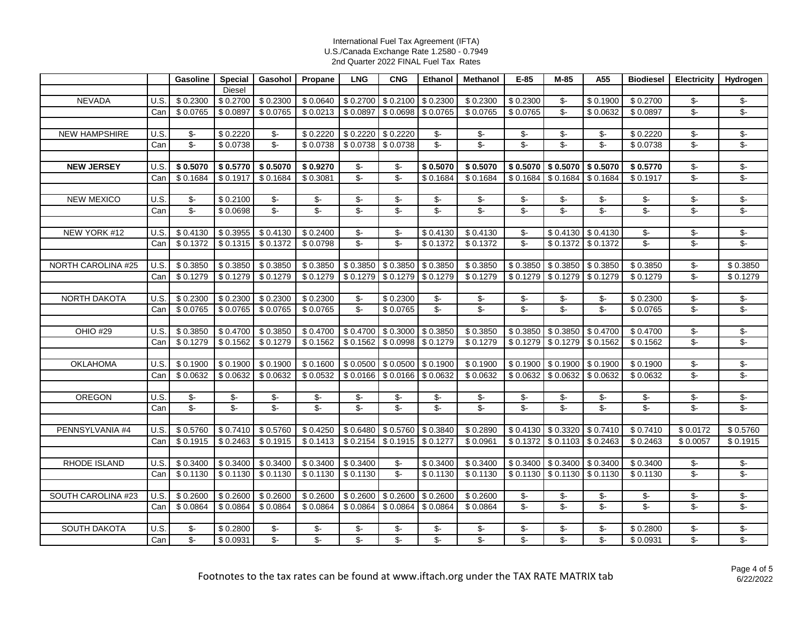|                           |      | Gasoline                 | Special                  | Gasohol                  | Propane                    | <b>LNG</b>                      | <b>CNG</b>                      | Ethanol                  | Methanol                 | $E-85$                         | $M-85$                   | A55                      | <b>Biodiesel</b>                | <b>Electricity</b>              | Hydrogen                             |
|---------------------------|------|--------------------------|--------------------------|--------------------------|----------------------------|---------------------------------|---------------------------------|--------------------------|--------------------------|--------------------------------|--------------------------|--------------------------|---------------------------------|---------------------------------|--------------------------------------|
|                           |      |                          | <b>Diesel</b>            |                          |                            |                                 |                                 |                          |                          |                                |                          |                          |                                 |                                 |                                      |
| <b>NEVADA</b>             | U.S. | \$0.2300                 | \$0.2700                 | \$0.2300                 | \$0.0640                   | \$0.2700                        | \$0.2100                        | \$0.2300                 | \$0.2300                 | \$0.2300                       | $\mathsf{S}$ -           | \$0.1900                 | \$0.2700                        | \$-                             | \$-                                  |
|                           | Can  | \$0.0765                 | \$0.0897                 | \$0.0765                 | \$0.0213                   | \$0.0897                        | \$0.0698                        | \$0.0765                 | \$0.0765                 | \$0.0765                       | $\mathcal{L}$            | \$0.0632                 | \$0.0897                        | \$-                             | \$-                                  |
|                           |      |                          |                          |                          |                            |                                 |                                 |                          |                          |                                |                          |                          |                                 |                                 |                                      |
| <b>NEW HAMPSHIRE</b>      | U.S. | \$-                      | \$0.2220                 | \$-                      | \$0.2220                   | \$0.2220                        | \$0.2220                        | \$-                      | $\mathcal{S}$ -          | \$-                            | $\mathcal{S}$ -          | $\frac{2}{3}$            | \$0.2220                        | \$-                             | \$-                                  |
|                           | Can  | $\overline{\mathcal{L}}$ | \$0.0738                 | $\overline{\$}$          | \$0.0738                   | \$0.0738                        | \$0.0738                        | $\overline{\$}$          | $\overline{\mathbb{S}}$  | $\overline{\mathcal{S}}$       | $\overline{\mathcal{S}}$ | $\overline{\mathcal{L}}$ | \$0.0738                        | $\overline{\mathcal{L}}$        | $\overline{\mathcal{F}}$             |
|                           |      |                          |                          |                          |                            |                                 |                                 |                          |                          |                                |                          |                          |                                 |                                 |                                      |
| <b>NEW JERSEY</b>         | U.S. | \$0.5070                 | \$0.5770                 | \$0.5070                 | \$0.9270                   | \$-                             | \$-                             | \$0.5070                 | \$0.5070                 | \$0.5070                       | \$0.5070                 | \$0.5070                 | \$0.5770                        | $\sqrt[6]{\frac{1}{2}}$         | \$-                                  |
|                           | Can  | \$0.1684                 | \$0.1917                 | \$0.1684                 | \$0.3081                   | $\overline{\mathcal{S}}$        | $\overline{\mathcal{S}}$        | \$0.1684                 | \$0.1684                 | \$0.1684                       | \$0.1684                 | \$0.1684                 | \$0.1917                        | \$-                             | \$-                                  |
|                           |      |                          |                          |                          |                            |                                 |                                 |                          |                          |                                |                          |                          |                                 |                                 |                                      |
| <b>NEW MEXICO</b>         | U.S. | \$-                      | \$0.2100                 | \$-                      | \$-                        | \$-                             | \$-                             | \$-                      | \$-                      | $\mathsf{S}$ -                 | $\mathsf{S}$ -           | \$-                      | \$-                             | \$-                             | \$-                                  |
|                           | Can  | $\overline{\$}$          | \$0.0698                 | $\overline{\mathcal{L}}$ | $\overline{\mathcal{F}}$   | $\overline{\mathcal{L}}$        | $\overline{\mathcal{L}}$        | $\overline{\mathcal{L}}$ | $\overline{\$}$          | $\overline{\mathcal{S}}$       | $\overline{\mathcal{S}}$ | $\overline{\$}$          | $\overline{\mathcal{S}}$        | $\overline{\$}$                 | $\overline{\$}$                      |
|                           | U.S. | \$0.4130                 | \$0.3955                 | \$0.4130                 | \$0.2400                   |                                 |                                 | \$0.4130                 | \$0.4130                 |                                | \$0.4130                 | \$0.4130                 |                                 |                                 |                                      |
| NEW YORK #12              | Can  | \$0.1372                 | \$0.1315                 | \$0.1372                 | \$0.0798                   | \$-<br>$\overline{\mathcal{S}}$ | \$-<br>$\overline{\mathcal{S}}$ | \$0.1372                 | \$0.1372                 | \$-<br>$\overline{\mathbb{S}}$ | \$0.1372                 | \$0.1372                 | \$-<br>$\overline{\mathcal{S}}$ | \$-<br>$\overline{\mathcal{E}}$ | \$-<br>$\sqrt[6]{\cdot}$             |
|                           |      |                          |                          |                          |                            |                                 |                                 |                          |                          |                                |                          |                          |                                 |                                 |                                      |
| <b>NORTH CAROLINA #25</b> | U.S. | \$0.3850                 | \$0.3850                 | \$0.3850                 | \$0.3850                   | \$0.3850                        | \$0.3850                        | \$0.3850                 | \$0.3850                 | \$0.3850                       | \$0.3850                 | \$0.3850                 | \$0.3850                        | \$-                             | \$0.3850                             |
|                           | Can  | \$0.1279                 | \$0.1279                 | \$0.1279                 | \$0.1279                   | \$0.1279                        | \$0.1279                        | \$0.1279                 | \$0.1279                 | \$0.1279                       | \$0.1279                 | \$0.1279                 | \$0.1279                        | \$-                             | \$0.1279                             |
|                           |      |                          |                          |                          |                            |                                 |                                 |                          |                          |                                |                          |                          |                                 |                                 |                                      |
| <b>NORTH DAKOTA</b>       | U.S. | \$0.2300                 | \$0.2300                 | \$0.2300                 | \$0.2300                   | $\sqrt[6]{\frac{1}{2}}$         | \$0.2300                        | $\sqrt[6]{\cdot}$        | \$-                      | \$-                            | $\mathcal{L}$            | $\mathcal{S}$ -          | \$0.2300                        | \$-                             | $\sqrt[6]{\cdot}$                    |
|                           | Can  | \$0.0765                 | \$0.0765                 | \$0.0765                 | \$0.0765                   | $\overline{\mathcal{L}}$        | \$0.0765                        | $\overline{\$}$          | $\overline{\mathcal{S}}$ | $\frac{2}{3}$                  | $\overline{\mathcal{L}}$ | $\overline{\mathcal{L}}$ | \$0.0765                        | $\overline{\mathcal{F}}$        | $\overline{\mathcal{F}}$             |
|                           |      |                          |                          |                          |                            |                                 |                                 |                          |                          |                                |                          |                          |                                 |                                 |                                      |
| <b>OHIO #29</b>           | U.S. | \$0.3850                 | \$0.4700                 | \$0.3850                 | \$0.4700                   | \$0.4700                        | \$0.3000                        | \$0.3850                 | \$0.3850                 | \$0.3850                       | \$0.3850                 | \$0.4700                 | \$0.4700                        | \$-                             | $\overline{\$}$ -                    |
|                           | Can  | \$0.1279                 | \$0.1562                 | \$0.1279                 | \$0.1562                   | \$0.1562                        | \$0.0998                        | \$0.1279                 | \$0.1279                 | \$0.1279                       | \$0.1279                 | \$0.1562                 | \$0.1562                        | $\sqrt[6]{\cdot}$               | $\overline{\mathcal{S}}$             |
|                           |      |                          |                          |                          |                            |                                 |                                 |                          |                          |                                |                          |                          |                                 |                                 |                                      |
| <b>OKLAHOMA</b>           | U.S. | \$0.1900                 | \$0.1900                 | \$0.1900                 | \$0.1600                   | \$0.0500                        | \$0.0500                        | \$0.1900                 | \$0.1900                 | \$0.1900                       | \$0.1900                 | \$0.1900                 | \$0.1900                        | $\sqrt[6]{\cdot}$               | \$-                                  |
|                           | Can  | \$0.0632                 | \$0.0632                 | \$0.0632                 | \$0.0532                   | \$0.0166                        | \$0.0166                        | \$0.0632                 | \$0.0632                 | \$0.0632                       | \$0.0632                 | \$0.0632                 | \$0.0632                        | \$-                             | $\overline{\mathcal{F}}$             |
|                           |      |                          |                          |                          |                            |                                 |                                 |                          |                          |                                |                          |                          |                                 |                                 |                                      |
| OREGON                    | U.S. | \$-                      | \$-                      | \$-                      | $\mathsf{S}$ -             | \$-                             | \$-                             | $\frac{2}{3}$            | \$-                      | \$-                            | \$-                      | \$-                      | $\mathbb{S}^-$                  | \$-                             | \$-                                  |
|                           | Can  | $\overline{\mathcal{S}}$ | $\overline{\mathcal{E}}$ | $\overline{\$}$          | $\overline{\mathcal{S}}$ - | $\overline{\mathcal{S}}$        | $\overline{\mathcal{S}}$        | $\overline{\mathcal{S}}$ | $\overline{\mathcal{S}}$ | $\mathsf{S}$ -                 | $\mathsf{S}$ -           | $\mathsf{S}$ -           | \$-                             | $\overline{\mathcal{E}}$        | $\overline{\mathcal{F}}$             |
|                           |      |                          |                          |                          |                            |                                 |                                 |                          |                          |                                |                          |                          |                                 |                                 |                                      |
| PENNSYLVANIA #4           | U.S. | \$0.5760                 | \$0.7410                 | \$0.5760                 | \$0.4250                   | \$0.6480                        | \$0.5760                        | \$0.3840                 | \$0.2890                 | \$0.4130                       | \$0.3320                 | \$0.7410                 | \$0.7410                        | \$0.0172                        | \$0.5760                             |
|                           | Can  | \$0.1915                 | \$0.2463                 | \$0.1915                 | \$0.1413                   | \$0.2154                        | \$0.1915                        | \$0.1277                 | \$0.0961                 | \$0.1372                       | \$0.1103                 | \$0.2463                 | \$0.2463                        | \$0.0057                        | \$0.1915                             |
|                           |      |                          |                          |                          |                            |                                 |                                 |                          |                          |                                |                          |                          |                                 |                                 |                                      |
| RHODE ISLAND              | U.S. | \$0.3400                 | \$0.3400                 | \$0.3400                 | \$0.3400                   | \$0.3400                        | \$-<br>$S-$                     | \$0.3400                 | \$0.3400                 | \$0.3400                       | \$0.3400                 | \$0.3400                 | \$0.3400                        | \$-<br>\$-                      | $\frac{2}{\pi}$<br>$\sqrt[6]{\cdot}$ |
|                           | Can  | \$0.1130                 | \$0.1130                 | \$0.1130                 | \$0.1130                   | \$0.1130                        |                                 | \$0.1130                 | \$0.1130                 | \$0.1130                       | \$0.1130                 | \$0.1130                 | \$0.1130                        |                                 |                                      |
| SOUTH CAROLINA #23        | U.S. | \$0.2600                 | \$0.2600                 | \$0.2600                 | \$0.2600                   | \$0.2600                        | \$0.2600                        | \$0.2600                 | \$0.2600                 | \$-                            | \$-                      | \$-                      | \$-                             | \$-                             | $\overline{\$}$ -                    |
|                           | Can  | \$0.0864                 | \$0.0864                 | \$0.0864                 | \$0.0864                   | \$0.0864                        | \$0.0864                        | \$0.0864                 | \$0.0864                 | $\overline{\$}$                | $\overline{\mathcal{L}}$ | $\overline{\mathcal{L}}$ | $\overline{\mathcal{S}}$ -      | $\overline{\mathcal{L}}$        | $\overline{\mathcal{F}}$             |
|                           |      |                          |                          |                          |                            |                                 |                                 |                          |                          |                                |                          |                          |                                 |                                 |                                      |
| <b>SOUTH DAKOTA</b>       | U.S. | \$-                      | \$0.2800                 | \$-                      | \$-                        | \$-                             | \$-                             | \$-                      | \$-                      | \$-                            | \$-                      | $\mathsf{S}$ -           | \$0.2800                        | $\sqrt[6]{\cdot}$               | \$-                                  |
|                           | Can  | $\overline{\mathcal{S}}$ | \$0.0931                 | $\overline{\mathcal{S}}$ | $\overline{\$}$            | $\overline{\mathcal{S}}$        | \$-                             | $\overline{\mathcal{S}}$ | $\overline{\mathcal{S}}$ | \$-                            | \$-                      | $\overline{\mathbb{S}}$  | \$0.0931                        | $\overline{\mathcal{L}}$        | \$-                                  |
|                           |      |                          |                          |                          |                            |                                 |                                 |                          |                          |                                |                          |                          |                                 |                                 |                                      |